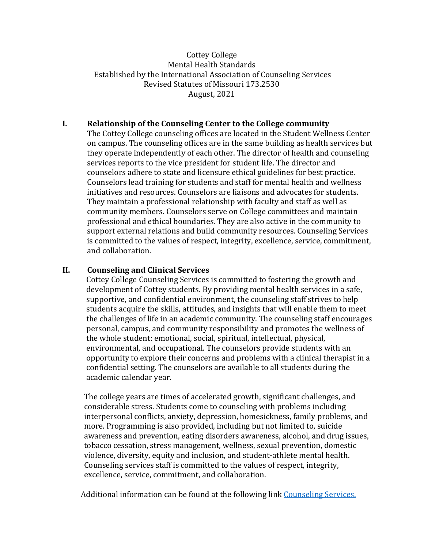# Cottey College Mental Health Standards Established by the International Association of Counseling Services Revised Statutes of Missouri 173.2530 August, 2021

# **I. Relationship of the Counseling Center to the College community**

The Cottey College counseling offices are located in the Student Wellness Center on campus. The counseling offices are in the same building as health services but they operate independently of each other. The director of health and counseling services reports to the vice president for student life. The director and counselors adhere to state and licensure ethical guidelines for best practice. Counselors lead training for students and staff for mental health and wellness initiatives and resources. Counselors are liaisons and advocates for students. They maintain a professional relationship with faculty and staff as well as community members. Counselors serve on College committees and maintain professional and ethical boundaries. They are also active in the community to support external relations and build community resources. Counseling Services is committed to the values of respect, integrity, excellence, service, commitment, and collaboration.

## **II. Counseling and Clinical Services**

Cottey College Counseling Services is committed to fostering the growth and development of Cottey students. By providing mental health services in a safe, supportive, and confidential environment, the counseling staff strives to help students acquire the skills, attitudes, and insights that will enable them to meet the challenges of life in an academic community. The counseling staff encourages personal, campus, and community responsibility and promotes the wellness of the whole student: emotional, social, spiritual, intellectual, physical, environmental, and occupational. The counselors provide students with an opportunity to explore their concerns and problems with a clinical therapist in a confidential setting. The counselors are available to all students during the academic calendar year.

The college years are times of accelerated growth, significant challenges, and considerable stress. Students come to counseling with problems including interpersonal conflicts, anxiety, depression, homesickness, family problems, and more. Programming is also provided, including but not limited to, suicide awareness and prevention, eating disorders awareness, alcohol, and drug issues, tobacco cessation, stress management, wellness, sexual prevention, domestic violence, diversity, equity and inclusion, and student-athlete mental health. Counseling services staff is committed to the values of respect, integrity, excellence, service, commitment, and collaboration.

Additional information can be found at the following link [Counseling Services.](https://cottey.edu/campus-community/student-life-center/counseling-services/)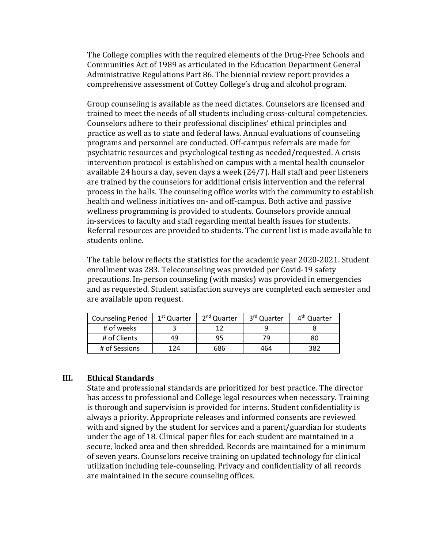The College complies with the required elements of the Drug-Free Schools and Communities Act of 1989 as articulated in the Education Department General Administrative Regulations Part 86. The biennial review report provides a comprehensive assessment of Cottey College's drug and alcohol program.

Group counseling is available as the need dictates. Counselors are licensed and trained to meet the needs of all students including cross-cultural competencies. Counselors adhere to their professional disciplines' ethical principles and practice as well as to state and federal laws. Annual evaluations of counseling programs and personnel are conducted. Off-campus referrals are made for psychiatric resources and psychological testing as needed/requested. A crisis intervention protocol is established on campus with a mental health counselor available 24 hours a day, seven days a week (24/7). Hall staff and peer listeners are trained by the counselors for additional crisis intervention and the referral process in the halls. The counseling office works with the community to establish health and wellness initiatives on- and off-campus. Both active and passive wellness programming is provided to students. Counselors provide annual in-services to faculty and staff regarding mental health issues for students. Referral resources are provided to students. The current list is made available to students online.

The table below reflects the statistics for the academic year 2020-2021. Student enrollment was 283. Telecounseling was provided per Covid-19 safety precautions. In-person counseling (with masks) was provided in emergencies and as requested. Student satisfaction surveys are completed each semester and are available upon request.

| <b>Counseling Period</b> | 1 <sup>st</sup> Quarter | 2 <sup>nd</sup> Quarter | 3rd Quarter | 4 <sup>th</sup> Quarter |
|--------------------------|-------------------------|-------------------------|-------------|-------------------------|
| # of weeks               |                         |                         |             |                         |
| # of Clients             | 49                      | 95                      | 79          | 80                      |
| # of Sessions            | 124                     | 686                     | 464         | 382                     |

#### **III. Ethical Standards**

State and professional standards are prioritized for best practice. The director has access to professional and College legal resources when necessary. Training is thorough and supervision is provided for interns. Student confidentiality is always a priority. Appropriate releases and informed consents are reviewed with and signed by the student for services and a parent/guardian for students under the age of 18. Clinical paper files for each student are maintained in a secure, locked area and then shredded. Records are maintained for a minimum of seven years. Counselors receive training on updated technology for clinical utilization including tele-counseling. Privacy and confidentiality of all records are maintained in the secure counseling offices.